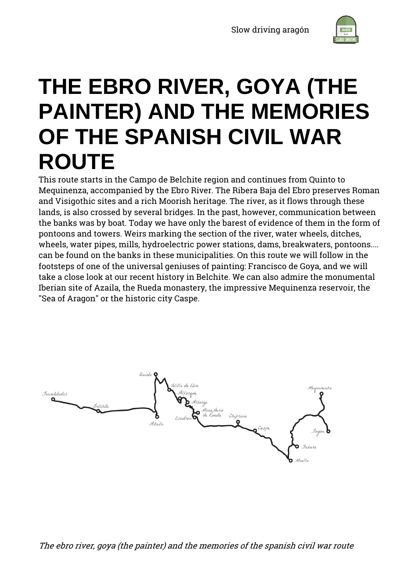

# **THE EBRO RIVER, GOYA (THE PAINTER) AND THE MEMORIES OF THE SPANISH CIVIL WAR ROUTE**

This route starts in the Campo de Belchite region and continues from Quinto to Mequinenza, accompanied by the Ebro River. The Ribera Baja del Ebro preserves Roman and Visigothic sites and a rich Moorish heritage. The river, as it flows through these lands, is also crossed by several bridges. In the past, however, communication between the banks was by boat. Today we have only the barest of evidence of them in the form of pontoons and towers. Weirs marking the section of the river, water wheels, ditches, wheels, water pipes, mills, hydroelectric power stations, dams, breakwaters, pontoons.... can be found on the banks in these municipalities. On this route we will follow in the footsteps of one of the universal geniuses of painting: Francisco de Goya, and we will take a close look at our recent history in Belchite. We can also admire the monumental Iberian site of Azaila, the Rueda monastery, the impressive Mequinenza reservoir, the "Sea of Aragon" or the historic city Caspe.

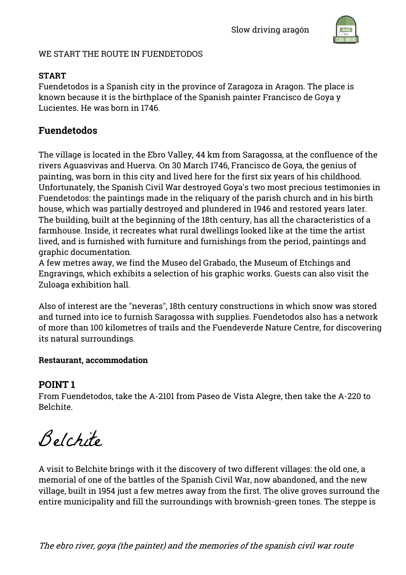

#### WE START THE ROUTE IN FUENDETODOS

#### **START**

Fuendetodos is a Spanish city in the province of Zaragoza in Aragon. The place is known because it is the birthplace of the Spanish painter Francisco de Goya y Lucientes. He was born in 1746.

# **Fuendetodos**

The village is located in the Ebro Valley, 44 km from Saragossa, at the confluence of the rivers Aguasvivas and Huerva. On 30 March 1746, Francisco de Goya, the genius of painting, was born in this city and lived here for the first six years of his childhood. Unfortunately, the Spanish Civil War destroyed Goya's two most precious testimonies in Fuendetodos: the paintings made in the reliquary of the parish church and in his birth house, which was partially destroyed and plundered in 1946 and restored years later. The building, built at the beginning of the 18th century, has all the characteristics of a farmhouse. Inside, it recreates what rural dwellings looked like at the time the artist lived, and is furnished with furniture and furnishings from the period, paintings and graphic documentation.

A few metres away, we find the Museo del Grabado, the Museum of Etchings and Engravings, which exhibits a selection of his graphic works. Guests can also visit the Zuloaga exhibition hall.

Also of interest are the "neveras", 18th century constructions in which snow was stored and turned into ice to furnish Saragossa with supplies. Fuendetodos also has a network of more than 100 kilometres of trails and the Fuendeverde Nature Centre, for discovering its natural surroundings.

#### **Restaurant, accommodation**

## **POINT 1**

From Fuendetodos, take the A-2101 from Paseo de Vista Alegre, then take the A-220 to Belchite.

Belchite

A visit to Belchite brings with it the discovery of two different villages: the old one, a memorial of one of the battles of the Spanish Civil War, now abandoned, and the new village, built in 1954 just a few metres away from the first. The olive groves surround the entire municipality and fill the surroundings with brownish-green tones. The steppe is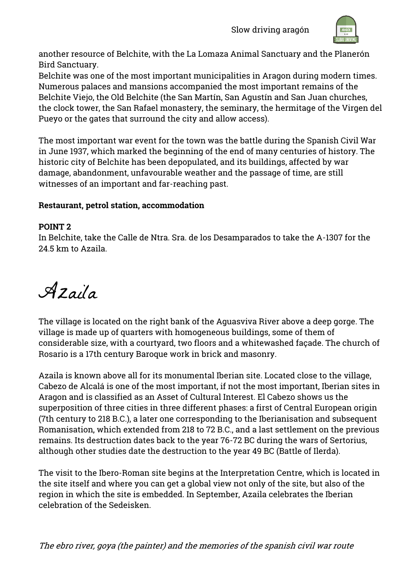

another resource of Belchite, with the La Lomaza Animal Sanctuary and the Planerón Bird Sanctuary.

Belchite was one of the most important municipalities in Aragon during modern times. Numerous palaces and mansions accompanied the most important remains of the Belchite Viejo, the Old Belchite (the San Martín, San Agustín and San Juan churches, the clock tower, the San Rafael monastery, the seminary, the hermitage of the Virgen del Pueyo or the gates that surround the city and allow access).

The most important war event for the town was the battle during the Spanish Civil War in June 1937, which marked the beginning of the end of many centuries of history. The historic city of Belchite has been depopulated, and its buildings, affected by war damage, abandonment, unfavourable weather and the passage of time, are still witnesses of an important and far-reaching past.

#### **Restaurant, petrol station, accommodation**

#### **POINT 2**

In Belchite, take the Calle de Ntra. Sra. de los Desamparados to take the A-1307 for the 24.5 km to Azaila.

Azaila

The village is located on the right bank of the Aguasviva River above a deep gorge. The village is made up of quarters with homogeneous buildings, some of them of considerable size, with a courtyard, two floors and a whitewashed façade. The church of Rosario is a 17th century Baroque work in brick and masonry.

Azaila is known above all for its monumental Iberian site. Located close to the village, Cabezo de Alcalá is one of the most important, if not the most important, Iberian sites in Aragon and is classified as an Asset of Cultural Interest. El Cabezo shows us the superposition of three cities in three different phases: a first of Central European origin (7th century to 218 B.C.), a later one corresponding to the Iberianisation and subsequent Romanisation, which extended from 218 to 72 B.C., and a last settlement on the previous remains. Its destruction dates back to the year 76-72 BC during the wars of Sertorius, although other studies date the destruction to the year 49 BC (Battle of Ilerda).

The visit to the Ibero-Roman site begins at the Interpretation Centre, which is located in the site itself and where you can get a global view not only of the site, but also of the region in which the site is embedded. In September, Azaila celebrates the Iberian celebration of the Sedeisken.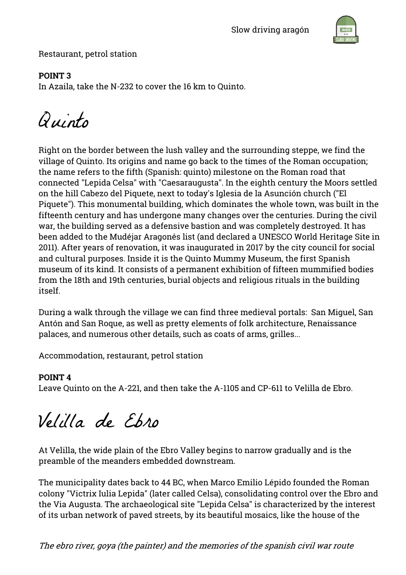

Restaurant, petrol station

# **POINT 3**

In Azaila, take the N-232 to cover the 16 km to Quinto.

Quinto

Right on the border between the lush valley and the surrounding steppe, we find the village of Quinto. Its origins and name go back to the times of the Roman occupation; the name refers to the fifth (Spanish: quinto) milestone on the Roman road that connected "Lepida Celsa" with "Caesaraugusta". In the eighth century the Moors settled on the hill Cabezo del Piquete, next to today's Iglesia de la Asunción church ("El Piquete"). This monumental building, which dominates the whole town, was built in the fifteenth century and has undergone many changes over the centuries. During the civil war, the building served as a defensive bastion and was completely destroyed. It has been added to the Mudéjar Aragonés list (and declared a UNESCO World Heritage Site in 2011). After years of renovation, it was inaugurated in 2017 by the city council for social and cultural purposes. Inside it is the Quinto Mummy Museum, the first Spanish museum of its kind. It consists of a permanent exhibition of fifteen mummified bodies from the 18th and 19th centuries, burial objects and religious rituals in the building itself.

During a walk through the village we can find three medieval portals: San Miguel, San Antón and San Roque, as well as pretty elements of folk architecture, Renaissance palaces, and numerous other details, such as coats of arms, grilles...

Accommodation, restaurant, petrol station

## **POINT 4**

Leave Quinto on the A-221, and then take the A-1105 and CP-611 to Velilla de Ebro.

Velilla de Ebro

At Velilla, the wide plain of the Ebro Valley begins to narrow gradually and is the preamble of the meanders embedded downstream.

The municipality dates back to 44 BC, when Marco Emilio Lépido founded the Roman colony "Victrix Iulia Lepida" (later called Celsa), consolidating control over the Ebro and the Via Augusta. The archaeological site "Lepida Celsa" is characterized by the interest of its urban network of paved streets, by its beautiful mosaics, like the house of the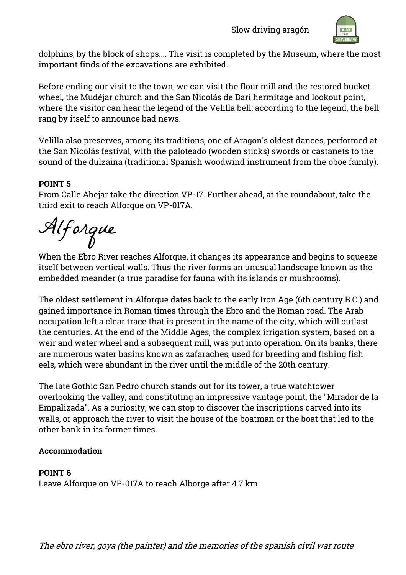

dolphins, by the block of shops.... The visit is completed by the Museum, where the most important finds of the excavations are exhibited.

Before ending our visit to the town, we can visit the flour mill and the restored bucket wheel, the Mudéjar church and the San Nicolás de Bari hermitage and lookout point, where the visitor can hear the legend of the Velilla bell: according to the legend, the bell rang by itself to announce bad news.

Velilla also preserves, among its traditions, one of Aragon's oldest dances, performed at the San Nicolás festival, with the paloteado (wooden sticks) swords or castanets to the sound of the dulzaina (traditional Spanish woodwind instrument from the oboe family).

## **POINT 5**

From Calle Abejar take the direction VP-17. Further ahead, at the roundabout, take the third exit to reach Alforque on VP-017A.

Alforque

When the Ebro River reaches Alforque, it changes its appearance and begins to squeeze itself between vertical walls. Thus the river forms an unusual landscape known as the embedded meander (a true paradise for fauna with its islands or mushrooms).

The oldest settlement in Alforque dates back to the early Iron Age (6th century B.C.) and gained importance in Roman times through the Ebro and the Roman road. The Arab occupation left a clear trace that is present in the name of the city, which will outlast the centuries. At the end of the Middle Ages, the complex irrigation system, based on a weir and water wheel and a subsequent mill, was put into operation. On its banks, there are numerous water basins known as zafaraches, used for breeding and fishing fish eels, which were abundant in the river until the middle of the 20th century.

The late Gothic San Pedro church stands out for its tower, a true watchtower overlooking the valley, and constituting an impressive vantage point, the "Mirador de la Empalizada". As a curiosity, we can stop to discover the inscriptions carved into its walls, or approach the river to visit the house of the boatman or the boat that led to the other bank in its former times.

## **Accommodation**

#### **POINT 6**

Leave Alforque on VP-017A to reach Alborge after 4.7 km.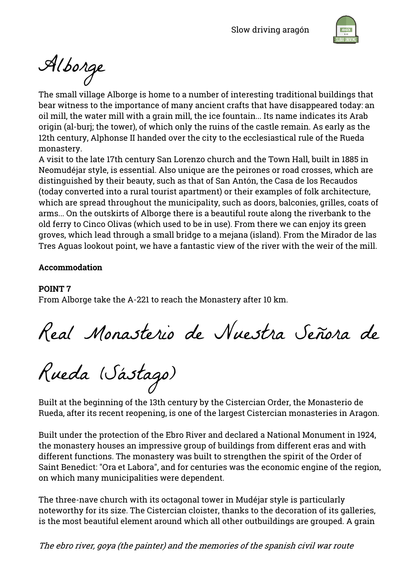

Alborge

The small village Alborge is home to a number of interesting traditional buildings that bear witness to the importance of many ancient crafts that have disappeared today: an oil mill, the water mill with a grain mill, the ice fountain... Its name indicates its Arab origin (al-burj; the tower), of which only the ruins of the castle remain. As early as the 12th century, Alphonse II handed over the city to the ecclesiastical rule of the Rueda monastery.

A visit to the late 17th century San Lorenzo church and the Town Hall, built in 1885 in Neomudéjar style, is essential. Also unique are the peirones or road crosses, which are distinguished by their beauty, such as that of San Antón, the Casa de los Recaudos (today converted into a rural tourist apartment) or their examples of folk architecture, which are spread throughout the municipality, such as doors, balconies, grilles, coats of arms... On the outskirts of Alborge there is a beautiful route along the riverbank to the old ferry to Cinco Olivas (which used to be in use). From there we can enjoy its green groves, which lead through a small bridge to a mejana (island). From the Mirador de las Tres Aguas lookout point, we have a fantastic view of the river with the weir of the mill.

#### **Accommodation**

#### **POINT 7**

From Alborge take the A-221 to reach the Monastery after 10 km.

Real Monasterio de Nuestra Señora de

Rueda (Sástago)

Built at the beginning of the 13th century by the Cistercian Order, the Monasterio de Rueda, after its recent reopening, is one of the largest Cistercian monasteries in Aragon.

Built under the protection of the Ebro River and declared a National Monument in 1924, the monastery houses an impressive group of buildings from different eras and with different functions. The monastery was built to strengthen the spirit of the Order of Saint Benedict: "Ora et Labora", and for centuries was the economic engine of the region, on which many municipalities were dependent.

The three-nave church with its octagonal tower in Mudéjar style is particularly noteworthy for its size. The Cistercian cloister, thanks to the decoration of its galleries, is the most beautiful element around which all other outbuildings are grouped. A grain

The ebro river, goya (the painter) and the memories of the spanish civil war route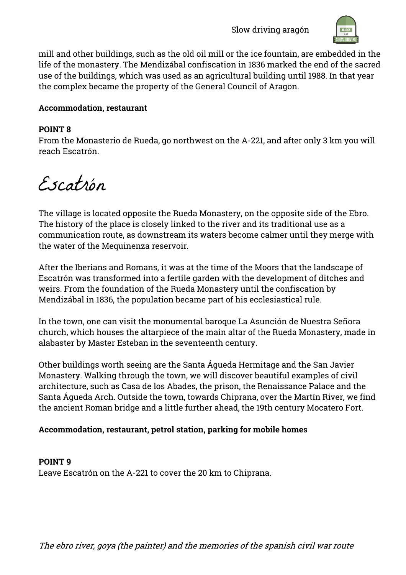Slow driving aragón



mill and other buildings, such as the old oil mill or the ice fountain, are embedded in the life of the monastery. The Mendizábal confiscation in 1836 marked the end of the sacred use of the buildings, which was used as an agricultural building until 1988. In that year the complex became the property of the General Council of Aragon.

#### **Accommodation, restaurant**

#### **POINT 8**

From the Monasterio de Rueda, go northwest on the A-221, and after only 3 km you will reach Escatrón.

Escatrón

The village is located opposite the Rueda Monastery, on the opposite side of the Ebro. The history of the place is closely linked to the river and its traditional use as a communication route, as downstream its waters become calmer until they merge with the water of the Mequinenza reservoir.

After the Iberians and Romans, it was at the time of the Moors that the landscape of Escatrón was transformed into a fertile garden with the development of ditches and weirs. From the foundation of the Rueda Monastery until the confiscation by Mendizábal in 1836, the population became part of his ecclesiastical rule.

In the town, one can visit the monumental baroque La Asunción de Nuestra Señora church, which houses the altarpiece of the main altar of the Rueda Monastery, made in alabaster by Master Esteban in the seventeenth century.

Other buildings worth seeing are the Santa Águeda Hermitage and the San Javier Monastery. Walking through the town, we will discover beautiful examples of civil architecture, such as Casa de los Abades, the prison, the Renaissance Palace and the Santa Águeda Arch. Outside the town, towards Chiprana, over the Martín River, we find the ancient Roman bridge and a little further ahead, the 19th century Mocatero Fort.

## **Accommodation, restaurant, petrol station, parking for mobile homes**

**POINT 9** Leave Escatrón on the A-221 to cover the 20 km to Chiprana.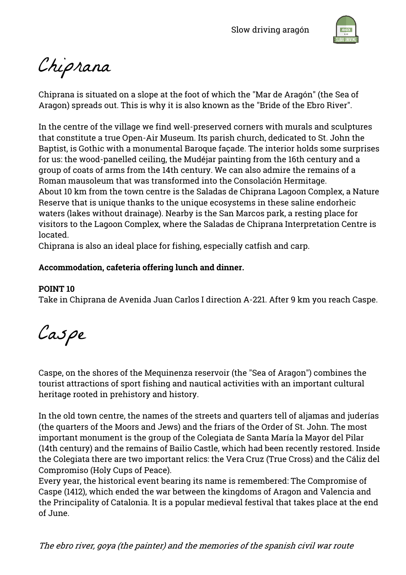

Chiprana

Chiprana is situated on a slope at the foot of which the "Mar de Aragón" (the Sea of Aragon) spreads out. This is why it is also known as the "Bride of the Ebro River".

In the centre of the village we find well-preserved corners with murals and sculptures that constitute a true Open-Air Museum. Its parish church, dedicated to St. John the Baptist, is Gothic with a monumental Baroque façade. The interior holds some surprises for us: the wood-panelled ceiling, the Mudéjar painting from the 16th century and a group of coats of arms from the 14th century. We can also admire the remains of a Roman mausoleum that was transformed into the Consolación Hermitage. About 10 km from the town centre is the Saladas de Chiprana Lagoon Complex, a Nature Reserve that is unique thanks to the unique ecosystems in these saline endorheic waters (lakes without drainage). Nearby is the San Marcos park, a resting place for visitors to the Lagoon Complex, where the Saladas de Chiprana Interpretation Centre is located.

Chiprana is also an ideal place for fishing, especially catfish and carp.

#### **Accommodation, cafeteria offering lunch and dinner.**

#### **POINT 10**

Take in Chiprana de Avenida Juan Carlos I direction A-221. After 9 km you reach Caspe.

Caspe

Caspe, on the shores of the Mequinenza reservoir (the "Sea of Aragon") combines the tourist attractions of sport fishing and nautical activities with an important cultural heritage rooted in prehistory and history.

In the old town centre, the names of the streets and quarters tell of aljamas and juderías (the quarters of the Moors and Jews) and the friars of the Order of St. John. The most important monument is the group of the Colegiata de Santa María la Mayor del Pilar (14th century) and the remains of Bailio Castle, which had been recently restored. Inside the Colegiata there are two important relics: the Vera Cruz (True Cross) and the Cáliz del Compromiso (Holy Cups of Peace).

Every year, the historical event bearing its name is remembered: The Compromise of Caspe (1412), which ended the war between the kingdoms of Aragon and Valencia and the Principality of Catalonia. It is a popular medieval festival that takes place at the end of June.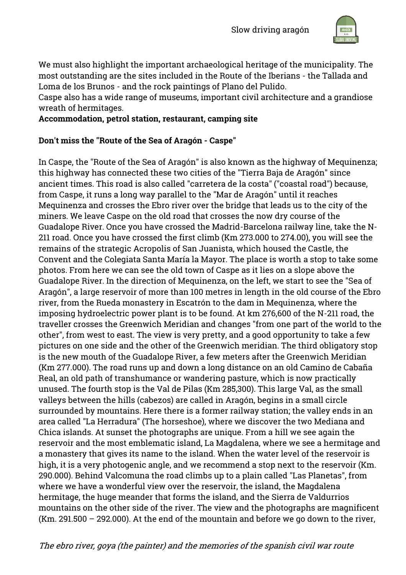

We must also highlight the important archaeological heritage of the municipality. The most outstanding are the sites included in the Route of the Iberians - the Tallada and Loma de los Brunos - and the rock paintings of Plano del Pulido.

Caspe also has a wide range of museums, important civil architecture and a grandiose wreath of hermitages.

**Accommodation, petrol station, restaurant, camping site**

#### **Don't miss the "Route of the Sea of Aragón - Caspe"**

In Caspe, the "Route of the Sea of Aragón" is also known as the highway of Mequinenza; this highway has connected these two cities of the "Tierra Baja de Aragón" since ancient times. This road is also called "carretera de la costa" ("coastal road") because, from Caspe, it runs a long way parallel to the "Mar de Aragón" until it reaches Mequinenza and crosses the Ebro river over the bridge that leads us to the city of the miners. We leave Caspe on the old road that crosses the now dry course of the Guadalope River. Once you have crossed the Madrid-Barcelona railway line, take the N-211 road. Once you have crossed the first climb (Km 273.000 to 274.00), you will see the remains of the strategic Acropolis of San Juanista, which housed the Castle, the Convent and the Colegiata Santa María la Mayor. The place is worth a stop to take some photos. From here we can see the old town of Caspe as it lies on a slope above the Guadalope River. In the direction of Mequinenza, on the left, we start to see the "Sea of Aragón", a large reservoir of more than 100 metres in length in the old course of the Ebro river, from the Rueda monastery in Escatrón to the dam in Mequinenza, where the imposing hydroelectric power plant is to be found. At km 276,600 of the N-211 road, the traveller crosses the Greenwich Meridian and changes "from one part of the world to the other", from west to east. The view is very pretty, and a good opportunity to take a few pictures on one side and the other of the Greenwich meridian. The third obligatory stop is the new mouth of the Guadalope River, a few meters after the Greenwich Meridian (Km 277.000). The road runs up and down a long distance on an old Camino de Cabaña Real, an old path of transhumance or wandering pasture, which is now practically unused. The fourth stop is the Val de Pilas (Km 285,300). This large Val, as the small valleys between the hills (cabezos) are called in Aragón, begins in a small circle surrounded by mountains. Here there is a former railway station; the valley ends in an area called "La Herradura" (The horseshoe), where we discover the two Mediana and Chica islands. At sunset the photographs are unique. From a hill we see again the reservoir and the most emblematic island, La Magdalena, where we see a hermitage and a monastery that gives its name to the island. When the water level of the reservoir is high, it is a very photogenic angle, and we recommend a stop next to the reservoir (Km. 290.000). Behind Valcomuna the road climbs up to a plain called "Las Planetas", from where we have a wonderful view over the reservoir, the island, the Magdalena hermitage, the huge meander that forms the island, and the Sierra de Valdurrios mountains on the other side of the river. The view and the photographs are magnificent (Km. 291.500 – 292.000). At the end of the mountain and before we go down to the river,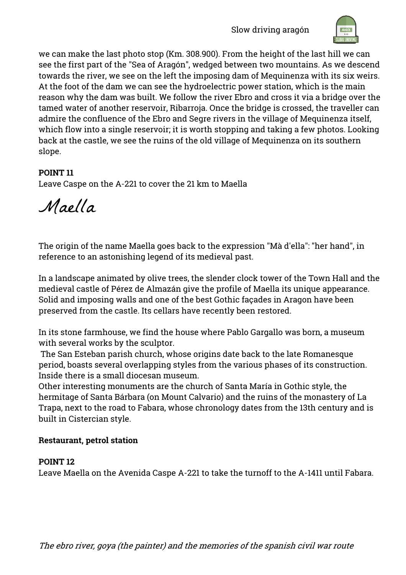Slow driving aragón



we can make the last photo stop (Km. 308.900). From the height of the last hill we can see the first part of the "Sea of Aragón", wedged between two mountains. As we descend towards the river, we see on the left the imposing dam of Mequinenza with its six weirs. At the foot of the dam we can see the hydroelectric power station, which is the main reason why the dam was built. We follow the river Ebro and cross it via a bridge over the tamed water of another reservoir, Ribarroja. Once the bridge is crossed, the traveller can admire the confluence of the Ebro and Segre rivers in the village of Mequinenza itself, which flow into a single reservoir; it is worth stopping and taking a few photos. Looking back at the castle, we see the ruins of the old village of Mequinenza on its southern slope.

#### **POINT 11**

Leave Caspe on the A-221 to cover the 21 km to Maella

Maella

The origin of the name Maella goes back to the expression "Mà d'ella": "her hand", in reference to an astonishing legend of its medieval past.

In a landscape animated by olive trees, the slender clock tower of the Town Hall and the medieval castle of Pérez de Almazán give the profile of Maella its unique appearance. Solid and imposing walls and one of the best Gothic façades in Aragon have been preserved from the castle. Its cellars have recently been restored.

In its stone farmhouse, we find the house where Pablo Gargallo was born, a museum with several works by the sculptor.

The San Esteban parish church, whose origins date back to the late Romanesque period, boasts several overlapping styles from the various phases of its construction. Inside there is a small diocesan museum.

Other interesting monuments are the church of Santa María in Gothic style, the hermitage of Santa Bárbara (on Mount Calvario) and the ruins of the monastery of La Trapa, next to the road to Fabara, whose chronology dates from the 13th century and is built in Cistercian style.

#### **Restaurant, petrol station**

#### **POINT 12**

Leave Maella on the Avenida Caspe A-221 to take the turnoff to the A-1411 until Fabara.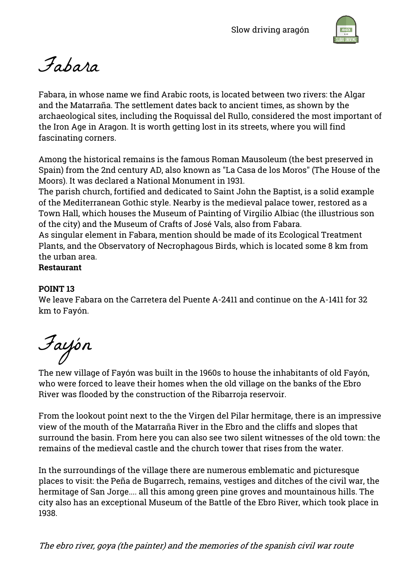

Fabara

Fabara, in whose name we find Arabic roots, is located between two rivers: the Algar and the Matarraña. The settlement dates back to ancient times, as shown by the archaeological sites, including the Roquissal del Rullo, considered the most important of the Iron Age in Aragon. It is worth getting lost in its streets, where you will find fascinating corners.

Among the historical remains is the famous Roman Mausoleum (the best preserved in Spain) from the 2nd century AD, also known as "La Casa de los Moros" (The House of the Moors). It was declared a National Monument in 1931.

The parish church, fortified and dedicated to Saint John the Baptist, is a solid example of the Mediterranean Gothic style. Nearby is the medieval palace tower, restored as a Town Hall, which houses the Museum of Painting of Virgilio Albiac (the illustrious son of the city) and the Museum of Crafts of José Vals, also from Fabara.

As singular element in Fabara, mention should be made of its Ecological Treatment Plants, and the Observatory of Necrophagous Birds, which is located some 8 km from the urban area.

**Restaurant**

#### **POINT 13**

We leave Fabara on the Carretera del Puente A-2411 and continue on the A-1411 for 32 km to Fayón.

Fayón

The new village of Fayón was built in the 1960s to house the inhabitants of old Fayón, who were forced to leave their homes when the old village on the banks of the Ebro River was flooded by the construction of the Ribarroja reservoir.

From the lookout point next to the the Virgen del Pilar hermitage, there is an impressive view of the mouth of the Matarraña River in the Ebro and the cliffs and slopes that surround the basin. From here you can also see two silent witnesses of the old town: the remains of the medieval castle and the church tower that rises from the water.

In the surroundings of the village there are numerous emblematic and picturesque places to visit: the Peña de Bugarrech, remains, vestiges and ditches of the civil war, the hermitage of San Jorge.... all this among green pine groves and mountainous hills. The city also has an exceptional Museum of the Battle of the Ebro River, which took place in 1938.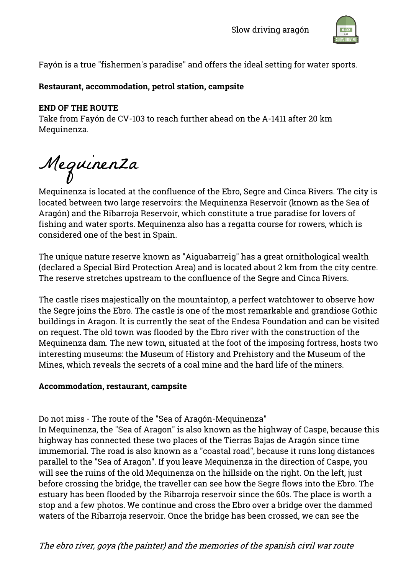

Fayón is a true "fishermen's paradise" and offers the ideal setting for water sports.

#### **Restaurant, accommodation, petrol station, campsite**

#### **END OF THE ROUTE**

Take from Fayón de CV-103 to reach further ahead on the A-1411 after 20 km Mequinenza.

Mequinenza

Mequinenza is located at the confluence of the Ebro, Segre and Cinca Rivers. The city is located between two large reservoirs: the Mequinenza Reservoir (known as the Sea of Aragón) and the Ribarroja Reservoir, which constitute a true paradise for lovers of fishing and water sports. Mequinenza also has a regatta course for rowers, which is considered one of the best in Spain.

The unique nature reserve known as "Aiguabarreig" has a great ornithological wealth (declared a Special Bird Protection Area) and is located about 2 km from the city centre. The reserve stretches upstream to the confluence of the Segre and Cinca Rivers.

The castle rises majestically on the mountaintop, a perfect watchtower to observe how the Segre joins the Ebro. The castle is one of the most remarkable and grandiose Gothic buildings in Aragon. It is currently the seat of the Endesa Foundation and can be visited on request. The old town was flooded by the Ebro river with the construction of the Mequinenza dam. The new town, situated at the foot of the imposing fortress, hosts two interesting museums: the Museum of History and Prehistory and the Museum of the Mines, which reveals the secrets of a coal mine and the hard life of the miners.

#### **Accommodation, restaurant, campsite**

Do not miss - The route of the "Sea of Aragón-Mequinenza"

In Mequinenza, the "Sea of Aragon" is also known as the highway of Caspe, because this highway has connected these two places of the Tierras Bajas de Aragón since time immemorial. The road is also known as a "coastal road", because it runs long distances parallel to the "Sea of Aragon". If you leave Mequinenza in the direction of Caspe, you will see the ruins of the old Mequinenza on the hillside on the right. On the left, just before crossing the bridge, the traveller can see how the Segre flows into the Ebro. The estuary has been flooded by the Ribarroja reservoir since the 60s. The place is worth a stop and a few photos. We continue and cross the Ebro over a bridge over the dammed waters of the Ribarroja reservoir. Once the bridge has been crossed, we can see the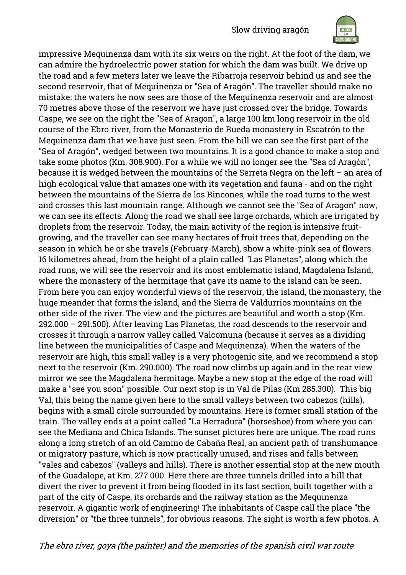

impressive Mequinenza dam with its six weirs on the right. At the foot of the dam, we can admire the hydroelectric power station for which the dam was built. We drive up the road and a few meters later we leave the Ribarroja reservoir behind us and see the second reservoir, that of Mequinenza or "Sea of Aragón". The traveller should make no mistake: the waters he now sees are those of the Mequinenza reservoir and are almost 70 metres above those of the reservoir we have just crossed over the bridge. Towards Caspe, we see on the right the "Sea of Aragon", a large 100 km long reservoir in the old course of the Ebro river, from the Monasterio de Rueda monastery in Escatrón to the Mequinenza dam that we have just seen. From the hill we can see the first part of the "Sea of Aragón", wedged between two mountains. It is a good chance to make a stop and take some photos (Km. 308.900). For a while we will no longer see the "Sea of Aragón", because it is wedged between the mountains of the Serreta Negra on the left – an area of high ecological value that amazes one with its vegetation and fauna - and on the right between the mountains of the Sierra de los Rincones, while the road turns to the west and crosses this last mountain range. Although we cannot see the "Sea of Aragon" now, we can see its effects. Along the road we shall see large orchards, which are irrigated by droplets from the reservoir. Today, the main activity of the region is intensive fruitgrowing, and the traveller can see many hectares of fruit trees that, depending on the season in which he or she travels (February-March), show a white-pink sea of flowers. 16 kilometres ahead, from the height of a plain called "Las Planetas", along which the road runs, we will see the reservoir and its most emblematic island, Magdalena Island, where the monastery of the hermitage that gave its name to the island can be seen. From here you can enjoy wonderful views of the reservoir, the island, the monastery, the huge meander that forms the island, and the Sierra de Valdurrios mountains on the other side of the river. The view and the pictures are beautiful and worth a stop (Km. 292.000 – 291.500). After leaving Las Planetas, the road descends to the reservoir and crosses it through a narrow valley called Valcomuna (because it serves as a dividing line between the municipalities of Caspe and Mequinenza). When the waters of the reservoir are high, this small valley is a very photogenic site, and we recommend a stop next to the reservoir (Km. 290.000). The road now climbs up again and in the rear view mirror we see the Magdalena hermitage. Maybe a new stop at the edge of the road will make a "see you soon" possible. Our next stop is in Val de Pilas (Km 285.300). This big Val, this being the name given here to the small valleys between two cabezos (hills), begins with a small circle surrounded by mountains. Here is former small station of the train. The valley ends at a point called "La Herradura" (horseshoe) from where you can see the Mediana and Chica Islands. The sunset pictures here are unique. The road runs along a long stretch of an old Camino de Cabaña Real, an ancient path of transhumance or migratory pasture, which is now practically unused, and rises and falls between "vales and cabezos" (valleys and hills). There is another essential stop at the new mouth of the Guadalope, at Km. 277.000. Here there are three tunnels drilled into a hill that divert the river to prevent it from being flooded in its last section, built together with a part of the city of Caspe, its orchards and the railway station as the Mequinenza reservoir. A gigantic work of engineering! The inhabitants of Caspe call the place "the diversion" or "the three tunnels", for obvious reasons. The sight is worth a few photos. A